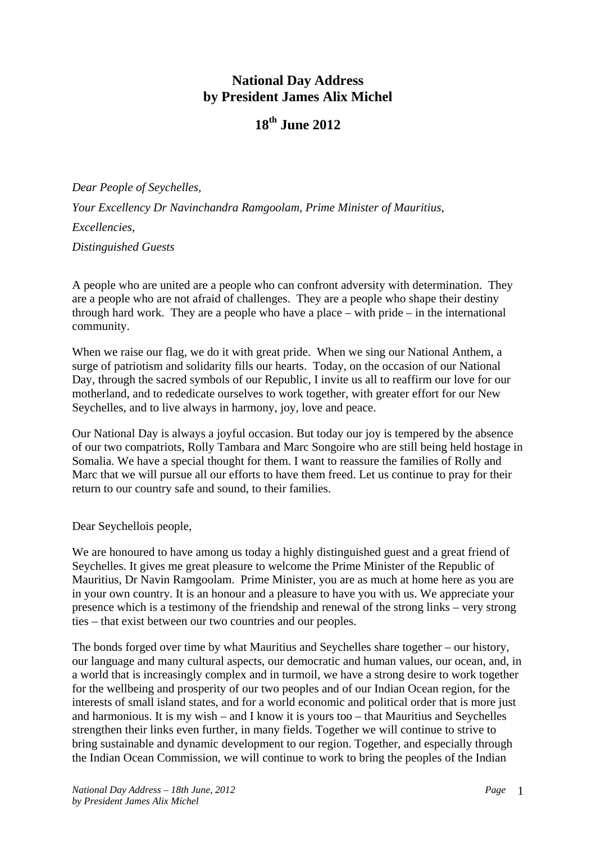## **National Day Address by President James Alix Michel**

## **18th June 2012**

*Dear People of Seychelles, Your Excellency Dr Navinchandra Ramgoolam, Prime Minister of Mauritius, Excellencies, Distinguished Guests*

A people who are united are a people who can confront adversity with determination. They are a people who are not afraid of challenges. They are a people who shape their destiny through hard work. They are a people who have a place – with pride – in the international community.

When we raise our flag, we do it with great pride. When we sing our National Anthem, a surge of patriotism and solidarity fills our hearts. Today, on the occasion of our National Day, through the sacred symbols of our Republic, I invite us all to reaffirm our love for our motherland, and to rededicate ourselves to work together, with greater effort for our New Seychelles, and to live always in harmony, joy, love and peace.

Our National Day is always a joyful occasion. But today our joy is tempered by the absence of our two compatriots, Rolly Tambara and Marc Songoire who are still being held hostage in Somalia. We have a special thought for them. I want to reassure the families of Rolly and Marc that we will pursue all our efforts to have them freed. Let us continue to pray for their return to our country safe and sound, to their families.

Dear Seychellois people,

We are honoured to have among us today a highly distinguished guest and a great friend of Seychelles. It gives me great pleasure to welcome the Prime Minister of the Republic of Mauritius, Dr Navin Ramgoolam. Prime Minister, you are as much at home here as you are in your own country. It is an honour and a pleasure to have you with us. We appreciate your presence which is a testimony of the friendship and renewal of the strong links – very strong ties – that exist between our two countries and our peoples.

The bonds forged over time by what Mauritius and Seychelles share together – our history, our language and many cultural aspects, our democratic and human values, our ocean, and, in a world that is increasingly complex and in turmoil, we have a strong desire to work together for the wellbeing and prosperity of our two peoples and of our Indian Ocean region, for the interests of small island states, and for a world economic and political order that is more just and harmonious. It is my wish – and I know it is yours too – that Mauritius and Seychelles strengthen their links even further, in many fields. Together we will continue to strive to bring sustainable and dynamic development to our region. Together, and especially through the Indian Ocean Commission, we will continue to work to bring the peoples of the Indian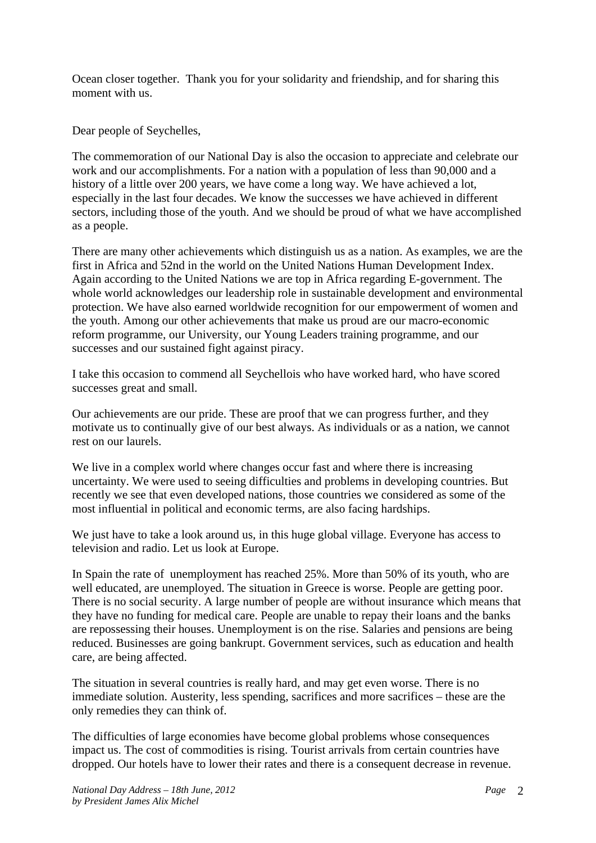Ocean closer together. Thank you for your solidarity and friendship, and for sharing this moment with us.

Dear people of Seychelles,

The commemoration of our National Day is also the occasion to appreciate and celebrate our work and our accomplishments. For a nation with a population of less than 90,000 and a history of a little over 200 years, we have come a long way. We have achieved a lot, especially in the last four decades. We know the successes we have achieved in different sectors, including those of the youth. And we should be proud of what we have accomplished as a people.

There are many other achievements which distinguish us as a nation. As examples, we are the first in Africa and 52nd in the world on the United Nations Human Development Index. Again according to the United Nations we are top in Africa regarding E-government. The whole world acknowledges our leadership role in sustainable development and environmental protection. We have also earned worldwide recognition for our empowerment of women and the youth. Among our other achievements that make us proud are our macro-economic reform programme, our University, our Young Leaders training programme, and our successes and our sustained fight against piracy.

I take this occasion to commend all Seychellois who have worked hard, who have scored successes great and small.

Our achievements are our pride. These are proof that we can progress further, and they motivate us to continually give of our best always. As individuals or as a nation, we cannot rest on our laurels.

We live in a complex world where changes occur fast and where there is increasing uncertainty. We were used to seeing difficulties and problems in developing countries. But recently we see that even developed nations, those countries we considered as some of the most influential in political and economic terms, are also facing hardships.

We just have to take a look around us, in this huge global village. Everyone has access to television and radio. Let us look at Europe.

In Spain the rate of unemployment has reached 25%. More than 50% of its youth, who are well educated, are unemployed. The situation in Greece is worse. People are getting poor. There is no social security. A large number of people are without insurance which means that they have no funding for medical care. People are unable to repay their loans and the banks are repossessing their houses. Unemployment is on the rise. Salaries and pensions are being reduced. Businesses are going bankrupt. Government services, such as education and health care, are being affected.

The situation in several countries is really hard, and may get even worse. There is no immediate solution. Austerity, less spending, sacrifices and more sacrifices – these are the only remedies they can think of.

The difficulties of large economies have become global problems whose consequences impact us. The cost of commodities is rising. Tourist arrivals from certain countries have dropped. Our hotels have to lower their rates and there is a consequent decrease in revenue.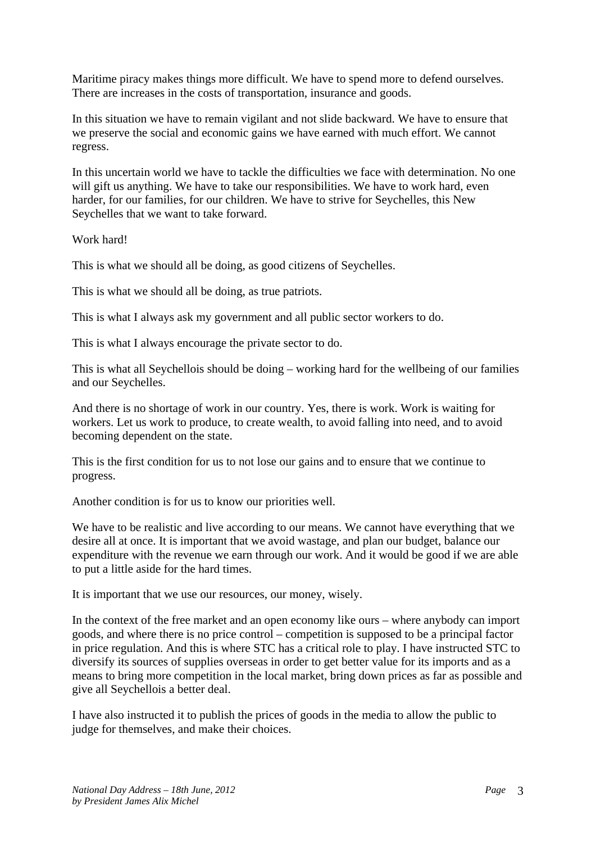Maritime piracy makes things more difficult. We have to spend more to defend ourselves. There are increases in the costs of transportation, insurance and goods.

In this situation we have to remain vigilant and not slide backward. We have to ensure that we preserve the social and economic gains we have earned with much effort. We cannot regress.

In this uncertain world we have to tackle the difficulties we face with determination. No one will gift us anything. We have to take our responsibilities. We have to work hard, even harder, for our families, for our children. We have to strive for Seychelles, this New Seychelles that we want to take forward.

Work hard!

This is what we should all be doing, as good citizens of Seychelles.

This is what we should all be doing, as true patriots.

This is what I always ask my government and all public sector workers to do.

This is what I always encourage the private sector to do.

This is what all Seychellois should be doing – working hard for the wellbeing of our families and our Seychelles.

And there is no shortage of work in our country. Yes, there is work. Work is waiting for workers. Let us work to produce, to create wealth, to avoid falling into need, and to avoid becoming dependent on the state.

This is the first condition for us to not lose our gains and to ensure that we continue to progress.

Another condition is for us to know our priorities well.

We have to be realistic and live according to our means. We cannot have everything that we desire all at once. It is important that we avoid wastage, and plan our budget, balance our expenditure with the revenue we earn through our work. And it would be good if we are able to put a little aside for the hard times.

It is important that we use our resources, our money, wisely.

In the context of the free market and an open economy like ours – where anybody can import goods, and where there is no price control – competition is supposed to be a principal factor in price regulation. And this is where STC has a critical role to play. I have instructed STC to diversify its sources of supplies overseas in order to get better value for its imports and as a means to bring more competition in the local market, bring down prices as far as possible and give all Seychellois a better deal.

I have also instructed it to publish the prices of goods in the media to allow the public to judge for themselves, and make their choices.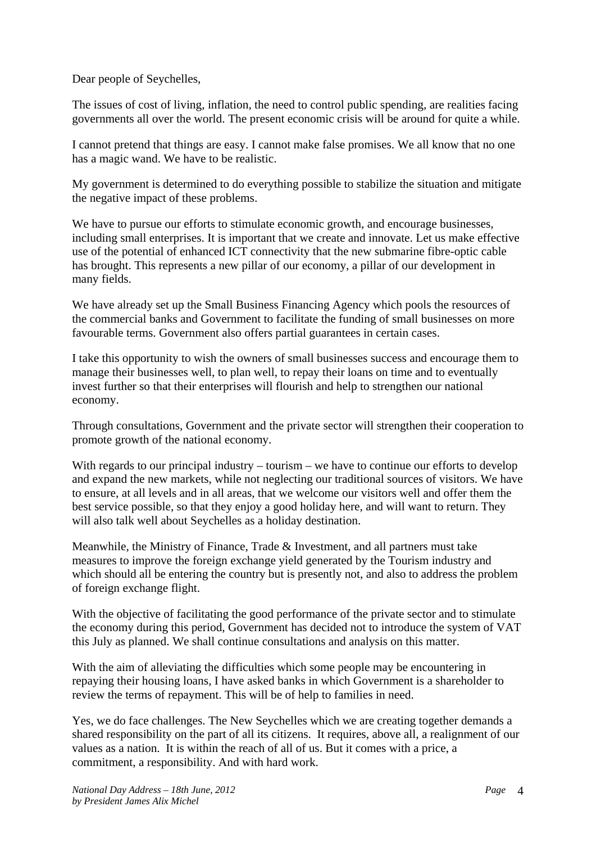Dear people of Seychelles,

The issues of cost of living, inflation, the need to control public spending, are realities facing governments all over the world. The present economic crisis will be around for quite a while.

I cannot pretend that things are easy. I cannot make false promises. We all know that no one has a magic wand. We have to be realistic.

My government is determined to do everything possible to stabilize the situation and mitigate the negative impact of these problems.

We have to pursue our efforts to stimulate economic growth, and encourage businesses, including small enterprises. It is important that we create and innovate. Let us make effective use of the potential of enhanced ICT connectivity that the new submarine fibre-optic cable has brought. This represents a new pillar of our economy, a pillar of our development in many fields.

We have already set up the Small Business Financing Agency which pools the resources of the commercial banks and Government to facilitate the funding of small businesses on more favourable terms. Government also offers partial guarantees in certain cases.

I take this opportunity to wish the owners of small businesses success and encourage them to manage their businesses well, to plan well, to repay their loans on time and to eventually invest further so that their enterprises will flourish and help to strengthen our national economy.

Through consultations, Government and the private sector will strengthen their cooperation to promote growth of the national economy.

With regards to our principal industry – tourism – we have to continue our efforts to develop and expand the new markets, while not neglecting our traditional sources of visitors. We have to ensure, at all levels and in all areas, that we welcome our visitors well and offer them the best service possible, so that they enjoy a good holiday here, and will want to return. They will also talk well about Seychelles as a holiday destination.

Meanwhile, the Ministry of Finance, Trade & Investment, and all partners must take measures to improve the foreign exchange yield generated by the Tourism industry and which should all be entering the country but is presently not, and also to address the problem of foreign exchange flight.

With the objective of facilitating the good performance of the private sector and to stimulate the economy during this period, Government has decided not to introduce the system of VAT this July as planned. We shall continue consultations and analysis on this matter.

With the aim of alleviating the difficulties which some people may be encountering in repaying their housing loans, I have asked banks in which Government is a shareholder to review the terms of repayment. This will be of help to families in need.

Yes, we do face challenges. The New Seychelles which we are creating together demands a shared responsibility on the part of all its citizens. It requires, above all, a realignment of our values as a nation. It is within the reach of all of us. But it comes with a price, a commitment, a responsibility. And with hard work.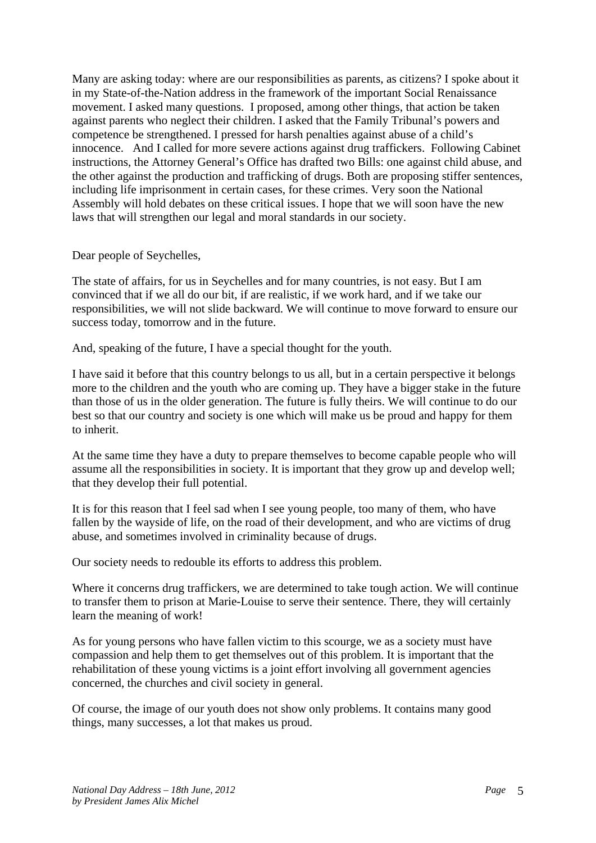Many are asking today: where are our responsibilities as parents, as citizens? I spoke about it in my State-of-the-Nation address in the framework of the important Social Renaissance movement. I asked many questions. I proposed, among other things, that action be taken against parents who neglect their children. I asked that the Family Tribunal's powers and competence be strengthened. I pressed for harsh penalties against abuse of a child's innocence. And I called for more severe actions against drug traffickers. Following Cabinet instructions, the Attorney General's Office has drafted two Bills: one against child abuse, and the other against the production and trafficking of drugs. Both are proposing stiffer sentences, including life imprisonment in certain cases, for these crimes. Very soon the National Assembly will hold debates on these critical issues. I hope that we will soon have the new laws that will strengthen our legal and moral standards in our society.

Dear people of Seychelles,

The state of affairs, for us in Seychelles and for many countries, is not easy. But I am convinced that if we all do our bit, if are realistic, if we work hard, and if we take our responsibilities, we will not slide backward. We will continue to move forward to ensure our success today, tomorrow and in the future.

And, speaking of the future, I have a special thought for the youth.

I have said it before that this country belongs to us all, but in a certain perspective it belongs more to the children and the youth who are coming up. They have a bigger stake in the future than those of us in the older generation. The future is fully theirs. We will continue to do our best so that our country and society is one which will make us be proud and happy for them to inherit.

At the same time they have a duty to prepare themselves to become capable people who will assume all the responsibilities in society. It is important that they grow up and develop well; that they develop their full potential.

It is for this reason that I feel sad when I see young people, too many of them, who have fallen by the wayside of life, on the road of their development, and who are victims of drug abuse, and sometimes involved in criminality because of drugs.

Our society needs to redouble its efforts to address this problem.

Where it concerns drug traffickers, we are determined to take tough action. We will continue to transfer them to prison at Marie-Louise to serve their sentence. There, they will certainly learn the meaning of work!

As for young persons who have fallen victim to this scourge, we as a society must have compassion and help them to get themselves out of this problem. It is important that the rehabilitation of these young victims is a joint effort involving all government agencies concerned, the churches and civil society in general.

Of course, the image of our youth does not show only problems. It contains many good things, many successes, a lot that makes us proud.